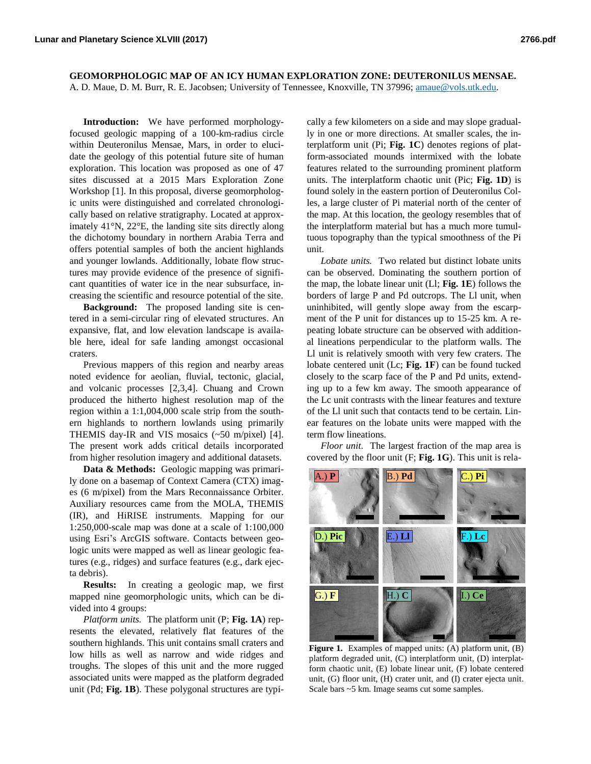**GEOMORPHOLOGIC MAP OF AN ICY HUMAN EXPLORATION ZONE: DEUTERONILUS MENSAE.**  A. D. Maue, D. M. Burr, R. E. Jacobsen; University of Tennessee, Knoxville, TN 37996[; amaue@vols.utk.edu.](mailto:amaue@vols.utk.edu)

**Introduction:** We have performed morphologyfocused geologic mapping of a 100-km-radius circle within Deuteronilus Mensae, Mars, in order to elucidate the geology of this potential future site of human exploration. This location was proposed as one of 47 sites discussed at a 2015 Mars Exploration Zone Workshop [1]. In this proposal, diverse geomorphologic units were distinguished and correlated chronologically based on relative stratigraphy. Located at approximately 41°N, 22°E, the landing site sits directly along the dichotomy boundary in northern Arabia Terra and offers potential samples of both the ancient highlands and younger lowlands. Additionally, lobate flow structures may provide evidence of the presence of significant quantities of water ice in the near subsurface, increasing the scientific and resource potential of the site.

**Background:** The proposed landing site is centered in a semi-circular ring of elevated structures. An expansive, flat, and low elevation landscape is available here, ideal for safe landing amongst occasional craters.

Previous mappers of this region and nearby areas noted evidence for aeolian, fluvial, tectonic, glacial, and volcanic processes [2,3,4]. Chuang and Crown produced the hitherto highest resolution map of the region within a 1:1,004,000 scale strip from the southern highlands to northern lowlands using primarily THEMIS day-IR and VIS mosaics (~50 m/pixel) [4]. The present work adds critical details incorporated from higher resolution imagery and additional datasets.

**Data & Methods:** Geologic mapping was primarily done on a basemap of Context Camera (CTX) images (6 m/pixel) from the Mars Reconnaissance Orbiter. Auxiliary resources came from the MOLA, THEMIS (IR), and HiRISE instruments. Mapping for our 1:250,000-scale map was done at a scale of 1:100,000 using Esri's ArcGIS software. Contacts between geologic units were mapped as well as linear geologic features (e.g., ridges) and surface features (e.g., dark ejecta debris).

**Results:** In creating a geologic map, we first mapped nine geomorphologic units, which can be divided into 4 groups:

*Platform units.* The platform unit (P; **Fig. 1A**) represents the elevated, relatively flat features of the southern highlands. This unit contains small craters and low hills as well as narrow and wide ridges and troughs. The slopes of this unit and the more rugged associated units were mapped as the platform degraded unit (Pd; **Fig. 1B**). These polygonal structures are typically a few kilometers on a side and may slope gradually in one or more directions. At smaller scales, the interplatform unit (Pi; **Fig. 1C**) denotes regions of platform-associated mounds intermixed with the lobate features related to the surrounding prominent platform units. The interplatform chaotic unit (Pic; **Fig. 1D**) is found solely in the eastern portion of Deuteronilus Colles, a large cluster of Pi material north of the center of the map. At this location, the geology resembles that of the interplatform material but has a much more tumultuous topography than the typical smoothness of the Pi unit.

*Lobate units.* Two related but distinct lobate units can be observed. Dominating the southern portion of the map, the lobate linear unit (Ll; **Fig. 1E**) follows the borders of large P and Pd outcrops. The Ll unit, when uninhibited, will gently slope away from the escarpment of the P unit for distances up to 15-25 km. A repeating lobate structure can be observed with additional lineations perpendicular to the platform walls. The Ll unit is relatively smooth with very few craters. The lobate centered unit (Lc; **Fig. 1F**) can be found tucked closely to the scarp face of the P and Pd units, extending up to a few km away. The smooth appearance of the Lc unit contrasts with the linear features and texture of the Ll unit such that contacts tend to be certain. Linear features on the lobate units were mapped with the term flow lineations.

*Floor unit.* The largest fraction of the map area is covered by the floor unit (F; **Fig. 1G**). This unit is rela-



**Figure 1.** Examples of mapped units: (A) platform unit, (B) platform degraded unit, (C) interplatform unit, (D) interplatform chaotic unit, (E) lobate linear unit, (F) lobate centered unit, (G) floor unit, (H) crater unit, and (I) crater ejecta unit. Scale bars ~5 km. Image seams cut some samples.